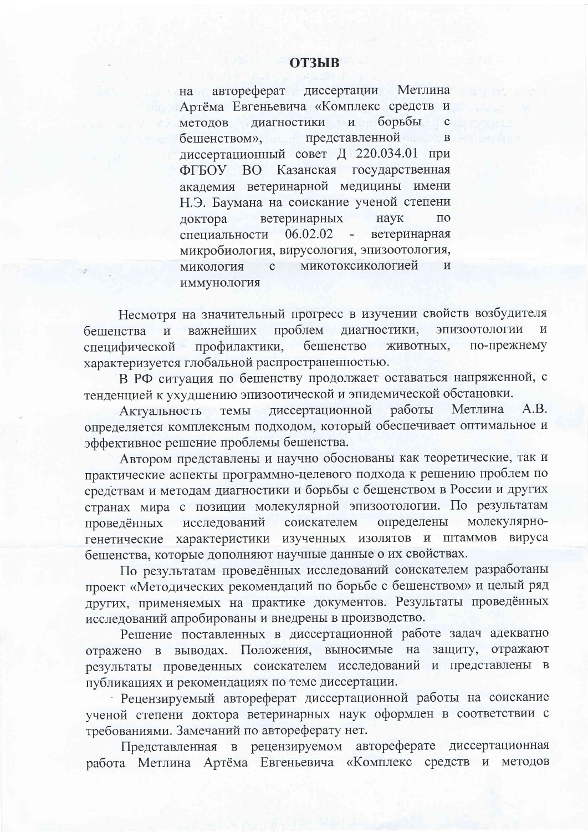## **ОТЗЫВ**

автореферат диссертации Метлина на Артёма Евгеньевича «Комплекс средств и борьбы методов лиагностики и бешенством», представленной  $\mathbf{B}$ диссертационный совет Д 220.034.01 при ВО Казанская государственная ФГБОУ академия ветеринарной медицины имени Н.Э. Баумана на соискание ученой степени ветеринарных доктора наук  $\Pi$ <sup>O</sup> специальности 06.02.02 ветеринарная  $\overline{a}$ микробиология, вирусология, эпизоотология, микотоксикологией  $\overline{M}$  $\mathbf{C}$ микология иммунология

Несмотря на значительный прогресс в изучении свойств возбудителя проблем диагностики, эпизоотологии  $\overline{M}$ важнейших  $\mathbf H$ бешенства профилактики, бешенство животных, по-прежнему специфической характеризуется глобальной распространенностью.

В РФ ситуация по бешенству продолжает оставаться напряженной, с тенденцией к ухудшению эпизоотической и эпидемической обстановки.

A.B. диссертационной Метлина работы Актуальность темы определяется комплексным подходом, который обеспечивает оптимальное и эффективное решение проблемы бешенства.

Автором представлены и научно обоснованы как теоретические, так и практические аспекты программно-целевого подхода к решению проблем по средствам и методам диагностики и борьбы с бещенством в России и других странах мира с позиции молекулярной эпизоотологии. По результатам молекулярносоискателем определены проведённых исследований характеристики изученных изолятов и штаммов вируса генетические бешенства, которые дополняют научные данные о их свойствах.

По результатам проведённых исследований соискателем разработаны проект «Методических рекомендаций по борьбе с бешенством» и целый ряд других, применяемых на практике документов. Результаты проведённых исследований апробированы и внедрены в производство.

Решение поставленных в диссертационной работе задач адекватно отражено в выводах. Положения, выносимые на защиту, отражают результаты проведенных соискателем исследований и представлены в публикациях и рекомендациях по теме диссертации.

Рецензируемый автореферат диссертационной работы на соискание ученой степени доктора ветеринарных наук оформлен в соответствии с требованиями. Замечаний по автореферату нет.

Представленная в рецензируемом автореферате диссертационная работа Метлина Артёма Евгеньевича «Комплекс средств и методов